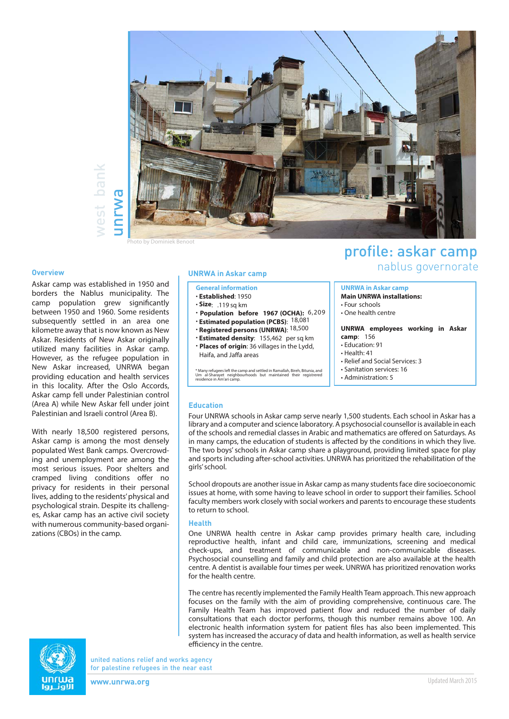

# west bank vest bank

Photo by Dominiek Benoot

Askar camp was established in 1950 and borders the Nablus municipality. The camp population grew significantly between 1950 and 1960. Some residents subsequently settled in an area one kilometre away that is now known as New Askar. Residents of New Askar originally utilized many facilities in Askar camp. However, as the refugee population in New Askar increased, UNRWA began providing education and health services in this locality. After the Oslo Accords, Askar camp fell under Palestinian control (Area A) while New Askar fell under joint Palestinian and Israeli control (Area B).

With nearly 18,500 registered persons, Askar camp is among the most densely populated West Bank camps. Overcrowding and unemployment are among the most serious issues. Poor shelters and cramped living conditions offer no privacy for residents in their personal lives, adding to the residents' physical and psychological strain. Despite its challenges, Askar camp has an active civil society with numerous community-based organizations (CBOs) in the camp.

#### **General information**

- **Established**: 1950
- **Size**: .119 sq km
- **Population before 1967 (OCHA):** 6,209
- **Estimated population (PCBS)**: 18,081
- **Registered persons (UNRWA)**: 18,500
- **Estimated density**: 155,462 per sq km • **Places of origin**: 36 villages in the Lydd, Haifa, and Jaffa areas

\* Many refugees left the camp and settled in Ramallah, Bireh, Bitunia, and Um al-Sharayet neighbourhoods but maintained their registrered residence in Am'ari camp.

## profile: askar camp nablus governorate **Overview UNRWA in Askar camp**

#### **UNRWA in Askar camp Main UNRWA installations:**

- Four schools
- One health centre
- 

#### **UNRWA employees working in Askar camp**: 156

- Education: 91
- Health: 41
- Relief and Social Services: 3
- Sanitation services: 16
- Administration: 5

#### **Education**

Four UNRWA schools in Askar camp serve nearly 1,500 students. Each school in Askar has a library and a computer and science laboratory. A psychosocial counsellor is available in each of the schools and remedial classes in Arabic and mathematics are offered on Saturdays. As in many camps, the education of students is affected by the conditions in which they live. The two boys' schools in Askar camp share a playground, providing limited space for play and sports including after-school activities. UNRWA has prioritized the rehabilitation of the girls' school.

School dropouts are another issue in Askar camp as many students face dire socioeconomic issues at home, with some having to leave school in order to support their families. School faculty members work closely with social workers and parents to encourage these students to return to school.

#### **Health**

One UNRWA health centre in Askar camp provides primary health care, including reproductive health, infant and child care, immunizations, screening and medical check-ups, and treatment of communicable and non-communicable diseases. Psychosocial counselling and family and child protection are also available at the health centre. A dentist is available four times per week. UNRWA has prioritized renovation works for the health centre.

The centre has recently implemented the Family Health Team approach. This new approach focuses on the family with the aim of providing comprehensive, continuous care. The Family Health Team has improved patient flow and reduced the number of daily consultations that each doctor performs, though this number remains above 100. An electronic health information system for patient files has also been implemented. This system has increased the accuracy of data and health information, as well as health service efficiency in the centre.



united nations relief and works agency for palestine refugees in the near east

**www.unrwa.org**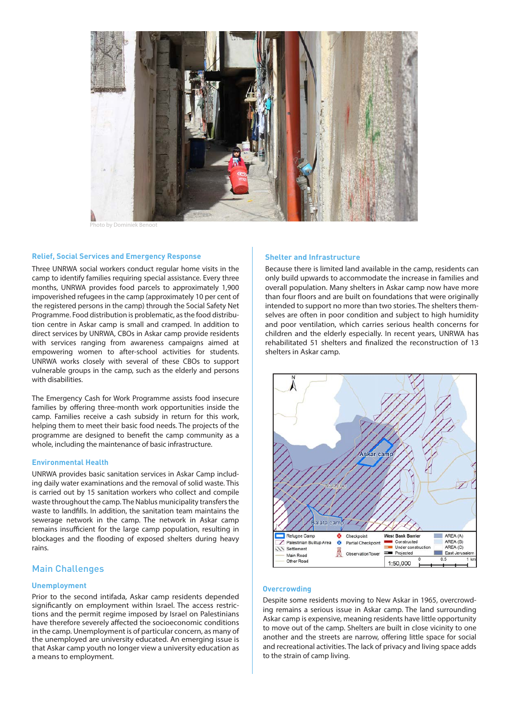

to by Dominiek Benoot

#### **Relief, Social Services and Emergency Response**

Three UNRWA social workers conduct regular home visits in the camp to identify families requiring special assistance. Every three months, UNRWA provides food parcels to approximately 1,900 impoverished refugees in the camp (approximately 10 per cent of the registered persons in the camp) through the Social Safety Net Programme. Food distribution is problematic, as the food distribution centre in Askar camp is small and cramped. In addition to direct services by UNRWA, CBOs in Askar camp provide residents with services ranging from awareness campaigns aimed at empowering women to after-school activities for students. UNRWA works closely with several of these CBOs to support vulnerable groups in the camp, such as the elderly and persons with disabilities.

The Emergency Cash for Work Programme assists food insecure families by offering three-month work opportunities inside the camp. Families receive a cash subsidy in return for this work, helping them to meet their basic food needs. The projects of the programme are designed to benefit the camp community as a whole, including the maintenance of basic infrastructure.

#### **Environmental Health**

UNRWA provides basic sanitation services in Askar Camp including daily water examinations and the removal of solid waste. This is carried out by 15 sanitation workers who collect and compile waste throughout the camp. The Nablus municipality transfers the waste to landfills. In addition, the sanitation team maintains the sewerage network in the camp. The network in Askar camp remains insufficient for the large camp population, resulting in blockages and the flooding of exposed shelters during heavy rains.

#### Main Challenges

#### **Unemployment**

Prior to the second intifada, Askar camp residents depended significantly on employment within Israel. The access restrictions and the permit regime imposed by Israel on Palestinians have therefore severely affected the socioeconomic conditions in the camp. Unemployment is of particular concern, as many of the unemployed are university educated. An emerging issue is that Askar camp youth no longer view a university education as a means to employment.

#### **Shelter and Infrastructure**

Because there is limited land available in the camp, residents can only build upwards to accommodate the increase in families and overall population. Many shelters in Askar camp now have more than four floors and are built on foundations that were originally intended to support no more than two stories. The shelters themselves are often in poor condition and subject to high humidity and poor ventilation, which carries serious health concerns for children and the elderly especially. In recent years, UNRWA has rehabilitated 51 shelters and finalized the reconstruction of 13 shelters in Askar camp.



#### **Overcrowding**

Despite some residents moving to New Askar in 1965, overcrowding remains a serious issue in Askar camp. The land surrounding Askar camp is expensive, meaning residents have little opportunity to move out of the camp. Shelters are built in close vicinity to one another and the streets are narrow, offering little space for social and recreational activities. The lack of privacy and living space adds to the strain of camp living.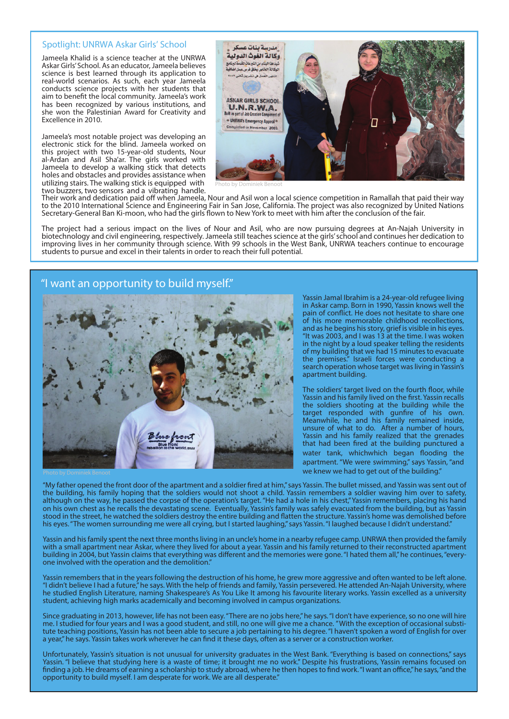#### Spotlight: UNRWA Askar Girls' School

Jameela Khalid is a science teacher at the UNRWA Askar Girls' School. As an educator, Jameela believes science is best learned through its application to real-world scenarios. As such, each year Jameela conducts science projects with her students that aim to benefit the local community. Jameela's work has been recognized by various institutions, and she won the Palestinian Award for Creativity and Excellence in 2010.

Jameela's most notable project was developing an electronic stick for the blind. Jameela worked on this project with two 15-year-old students, Nour al-Ardan and Asil Sha'ar. The girls worked with Jameela to develop a walking stick that detects holes and obstacles and provides assistance when utilizing stairs. The walking stick is equipped with two buzzers, two sensors and a vibrating handle.



Photo by Dominiek Benoot

Their work and dedication paid off when Jameela, Nour and Asil won a local science competition in Ramallah that paid their way to the 2010 International Science and Engineering Fair in San Jose, California. The project was also recognized by United Nations Secretary-General Ban Ki-moon, who had the girls flown to New York to meet with him after the conclusion of the fair.

The project had a serious impact on the lives of Nour and Asil, who are now pursuing degrees at An-Najah University in biotechnology and civil engineering, respectively. Jameela still teaches science at the girls' school and continues her dedication to improving lives in her community through science. With 99 schools in the West Bank, UNRWA teachers continue to encourage students to pursue and excel in their talents in order to reach their full potential.

## "I want an opportunity to build myself."



Yassin Jamal Ibrahim is a 24-year-old refugee living in Askar camp. Born in 1990, Yassin knows well the pain of conflict. He does not hesitate to share one of his more memorable childhood recollections, and as he begins his story, grief is visible in his eyes. "It was 2003, and I was 13 at the time. I was woken in the night by a loud speaker telling the residents of my building that we had 15 minutes to evacuate the premises." Israeli forces were conducting a search operation whose target was living in Yassin's apartment building.

The soldiers' target lived on the fourth floor, while Yassin and his family lived on the first. Yassin recalls the soldiers shooting at the building while the target responded with gunfire of his own. Meanwhile, he and his family remained inside, unsure of what to do. After a number of hours, Yassin and his family realized that the grenades that had been fired at the building punctured a water tank, whichwhich began flooding the apartment. "We were swimming," says Yassin, "and we knew we had to get out of the building."

"My father opened the front door of the apartment and a soldier fired at him," says Yassin. The bullet missed, and Yassin was sent out of the building, his family hoping that the soldiers would not shoot a child. Yassin remembers a soldier waving him over to safety, although on the way, he passed the corpse of the operation's target. "He had a hole in his chest," Yassin remembers, placing his hand on his own chest as he recalls the devastating scene. Eventually, Yassin's family was safely evacuated from the building, but as Yassin stood in the street, he watched the soldiers destroy the entire building and flatten the structure. Yassin's home was demolished before his eyes. "The women surrounding me were all crying, but I started laughing," says Yassin. "I laughed because I didn't understand."

Yassin and his family spent the next three months living in an uncle's home in a nearby refugee camp. UNRWA then provided the family with a small apartment near Askar, where they lived for about a year. Yassin and his family returned to their reconstructed apartment building in 2004, but Yassin claims that everything was different and the memories were gone. "I hated them all," he continues, "everyone involved with the operation and the demolition."

Yassin remembers that in the years following the destruction of his home, he grew more aggressive and often wanted to be left alone. "I didn't believe I had a future," he says. With the help of friends and family, Yassin persevered. He attended An-Najah University, where he studied English Literature, naming Shakespeare's As You Like It among his favourite literary works. Yassin excelled as a university student, achieving high marks academically and becoming involved in campus organizations.

Since graduating in 2013, however, life has not been easy. "There are no jobs here," he says. "I don't have experience, so no one will hire me. I studied for four years and I was a good student, and still, no one will give me a chance. " With the exception of occasional substitute teaching positions, Yassin has not been able to secure a job pertaining to his degree. "I haven't spoken a word of English for over a year," he says. Yassin takes work wherever he can find it these days, often as a server or a construction worker.

Unfortunately, Yassin's situation is not unusual for university graduates in the West Bank. "Everything is based on connections," says Yassin. "I believe that studying here is a waste of time; it brought me no work." Despite his frustrations, Yassin remains focused on finding a job. He dreams of earning a scholarship to study abroad, where he then hopes to find work. "I want an office," he says, "and the opportunity to build myself. I am desperate for work. We are all desperate."